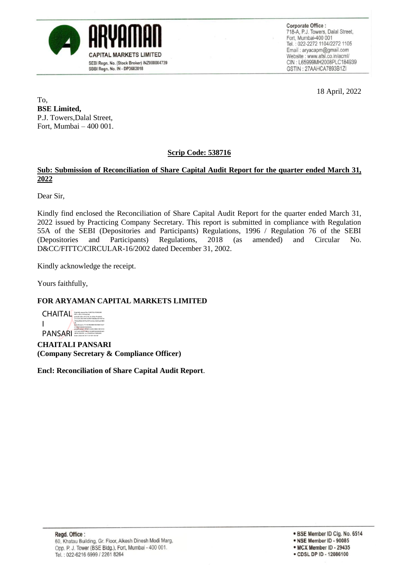

Corporate Office : 718-A, P.J. Towers, Dalal Street, Fort, Mumbai-400 001 Tel.: 022-2272 1104/2272 1105 Email: aryacapm@gmail.com Website: www.afsl.co.in/acml/ CIN: L65999MH2008PLC184939 GSTIN: 27AAHCA7893B1ZI

18 April, 2022

To, **BSE Limited,** P.J. Towers,Dalal Street, Fort, Mumbai – 400 001.

#### **Scrip Code: 538716**

#### **Sub: Submission of Reconciliation of Share Capital Audit Report for the quarter ended March 31, 2022**

Dear Sir,

Kindly find enclosed the Reconciliation of Share Capital Audit Report for the quarter ended March 31, 2022 issued by Practicing Company Secretary. This report is submitted in compliance with Regulation 55A of the SEBI (Depositories and Participants) Regulations, 1996 / Regulation 76 of the SEBI (Depositories and Participants) Regulations, 2018 (as amended) and Circular No. D&CC/FITTC/CIRCULAR-16/2002 dated December 31, 2002.

Kindly acknowledge the receipt.

Yours faithfully,

#### **FOR ARYAMAN CAPITAL MARKETS LIMITED**



**CHAITALI PANSARI (Company Secretary & Compliance Officer)**

**Encl: Reconciliation of Share Capital Audit Report**.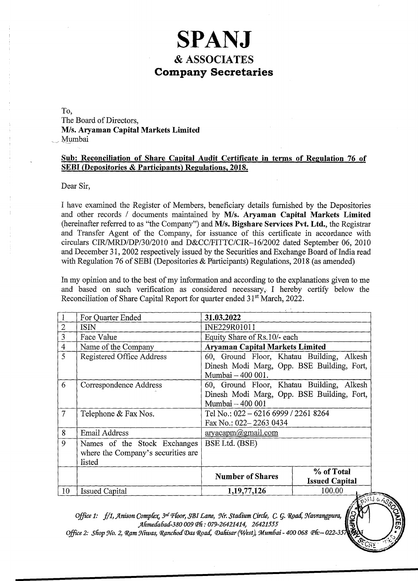### **SPANJ & ASSOCIATES Company Secretaries**

To, The Board of Directors, *MIs.* **Aryaman Capital Markets Limited**  Mumbai

#### **Sub: Reconciliation of Share Capital Audit Certificate in terms of Regulation 76 of SEBI (Depositories & Participants) Regulations, 2018.**

Dear Sir,

I have examined the Register of Members, beneficiary details furnished by the Depositories and other records / documents maintained by M/s. Aryaman Capital Markets Limited (hereinafter referred to as "the Company") and *MIs.* **Bigshare Services Pvt. Ltd.,** the Registrar and Transfer Agent of the Company, for issuance of this certificate in accordance with circulars *CIRIMRD/DP/30/2010* and *D&CCIFITTCICIR-16/2002* dated September 06, 2010 and December 31, 2002 respectively issued by the Securities and Exchange Board of India read with Regulation 76 of SEBI (Depositories  $&$  Participants) Regulations, 2018 (as amended)

In my opinion and to the best of my information and according to the explanations given to me and based on such verification as considered necessary,. I hereby certify below the Reconciliation of Share Capital Report for quarter ended 31<sup>st</sup> March, 2022.

|                | For Quarter Ended                                                            | 31.03.2022                                                                                                   |                                     |  |
|----------------|------------------------------------------------------------------------------|--------------------------------------------------------------------------------------------------------------|-------------------------------------|--|
| $\overline{2}$ | <b>ISIN</b>                                                                  | INE229R01011                                                                                                 |                                     |  |
| $\overline{3}$ | Face Value                                                                   | Equity Share of Rs.10/- each                                                                                 |                                     |  |
| $\overline{4}$ | Name of the Company                                                          | <b>Aryaman Capital Markets Limited</b>                                                                       |                                     |  |
| 5              | Registered Office Address                                                    | 60, Ground Floor, Khatau Building, Alkesh<br>Dinesh Modi Marg, Opp. BSE Building, Fort,<br>Mumbai - 400 001. |                                     |  |
| 6              | Correspondence Address                                                       | 60, Ground Floor, Khatau Building, Alkesh<br>Dinesh Modi Marg, Opp. BSE Building, Fort,<br>Mumbai - 400 001  |                                     |  |
| $\overline{7}$ | Telephone & Fax Nos.                                                         | Tel No.: 022 – 6216 6999 / 2261 8264<br>Fax No.: 022-2263 0434                                               |                                     |  |
| 8              | <b>Email Address</b>                                                         | $\arg\alpha$ aryacapm $\omega$ gmail.com                                                                     |                                     |  |
| 9              | Names of the Stock Exchanges<br>where the Company's securities are<br>listed | BSE Ltd. (BSE)                                                                                               |                                     |  |
|                |                                                                              | <b>Number of Shares</b>                                                                                      | % of Total<br><b>Issued Capital</b> |  |
| 10             | <b>Issued Capital</b>                                                        | 1, 19, 77, 126                                                                                               | 100.00<br>FRIUGE                    |  |

*Office 1:* f/1, Anison Complex, 3<sup>rd</sup> Floor, SBI Lane, Nr. Stadium Circle, C. G. Road, Navrangpura, *jllimetfa6atf-380 009 pli: 079-26421414,* 26421555 ~

*Office 2: Shop No. 2, Ram Niwas, Ranchod Das Road, Dahisar (West), Mumbai - 400 068 Ph:*-022-35

 $\frac{\mathcal{S}_{\mathcal{C}}}{\mathcal{S}_{\mathcal{C}}}}$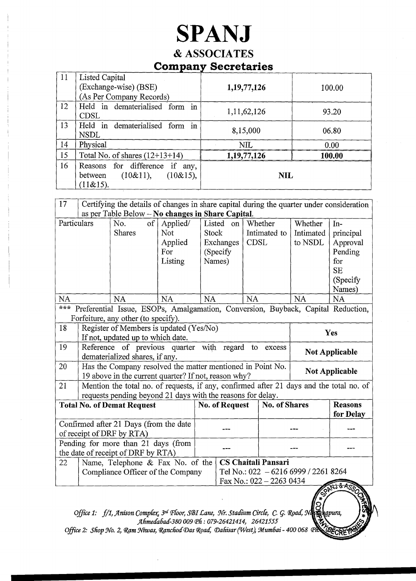# **SPANJ**

### & ASSOCIATES **Company Secretaries**

| 11 | Listed Capital                                                                      |                |        |
|----|-------------------------------------------------------------------------------------|----------------|--------|
|    | (Exchange-wise) (BSE)                                                               | 1, 19, 77, 126 | 100.00 |
|    | (As Per Company Records)                                                            |                |        |
| 12 | Held in dematerialised form in<br><b>CDSL</b>                                       | 1, 11, 62, 126 | 93.20  |
| 13 | Held in dematerialised form in<br><b>NSDL</b>                                       | 8,15,000       | 06.80  |
| 14 | Physical                                                                            | <b>NIL</b>     | 0.00   |
| 15 | Total No. of shares $(12+13+14)$                                                    | 1,19,77,126    | 100.00 |
| 16 | Reasons for difference if any,<br>$(10\&11),$ $(10\&15),$<br>between<br>$(11\&15).$ | <b>NIL</b>     |        |

| 17                                                                                                                                 | Certifying the details of changes in share capital during the quarter under consideration<br>as per Table Below - No changes in Share Capital.         |                                                                                                                      |                                              |                        |                                                                                                |           |                         |                                 |                                                                                   |
|------------------------------------------------------------------------------------------------------------------------------------|--------------------------------------------------------------------------------------------------------------------------------------------------------|----------------------------------------------------------------------------------------------------------------------|----------------------------------------------|------------------------|------------------------------------------------------------------------------------------------|-----------|-------------------------|---------------------------------|-----------------------------------------------------------------------------------|
| Particulars                                                                                                                        |                                                                                                                                                        | of<br>No.<br><b>Shares</b>                                                                                           | Applied/<br>Not<br>Applied<br>For<br>Listing | Listed<br><b>Stock</b> | on<br>Exchanges<br>(Specify)<br>Names)                                                         | CDSL      | Whether<br>Intimated to | Whether<br>Intimated<br>to NSDL | In-<br>principal<br>Approval<br>Pending<br>for<br><b>SE</b><br>(Specify<br>Names) |
| <b>NA</b>                                                                                                                          |                                                                                                                                                        | <b>NA</b>                                                                                                            | <b>NA</b>                                    | <b>NA</b>              |                                                                                                | <b>NA</b> |                         | <b>NA</b>                       | <b>NA</b>                                                                         |
| $* * *$<br>Preferential Issue, ESOPs, Amalgamation, Conversion, Buyback, Capital Reduction,<br>Forfeiture, any other (to specify). |                                                                                                                                                        |                                                                                                                      |                                              |                        |                                                                                                |           |                         |                                 |                                                                                   |
| 18                                                                                                                                 | Register of Members is updated (Yes/No)<br>Yes<br>If not, updated up to which date.                                                                    |                                                                                                                      |                                              |                        |                                                                                                |           |                         |                                 |                                                                                   |
| 19                                                                                                                                 |                                                                                                                                                        | Reference of previous quarter with regard<br>to<br>excess<br><b>Not Applicable</b><br>dematerialized shares, if any. |                                              |                        |                                                                                                |           |                         |                                 |                                                                                   |
| 20                                                                                                                                 | Has the Company resolved the matter mentioned in Point No.<br>19 above in the current quarter? If not, reason why?                                     |                                                                                                                      |                                              |                        |                                                                                                |           | <b>Not Applicable</b>   |                                 |                                                                                   |
| 21                                                                                                                                 | Mention the total no. of requests, if any, confirmed after 21 days and the total no. of<br>requests pending beyond 21 days with the reasons for delay. |                                                                                                                      |                                              |                        |                                                                                                |           |                         |                                 |                                                                                   |
| <b>Total No. of Demat Request</b>                                                                                                  |                                                                                                                                                        |                                                                                                                      | <b>No. of Request</b>                        | <b>No. of Shares</b>   |                                                                                                |           | <b>Reasons</b>          |                                 |                                                                                   |
|                                                                                                                                    |                                                                                                                                                        |                                                                                                                      |                                              |                        |                                                                                                |           |                         | for Delay                       |                                                                                   |
| Confirmed after 21 Days (from the date<br>of receipt of DRF by RTA)                                                                |                                                                                                                                                        |                                                                                                                      |                                              |                        |                                                                                                |           |                         |                                 |                                                                                   |
| Pending for more than 21 days (from<br>the date of receipt of DRF by RTA)                                                          |                                                                                                                                                        |                                                                                                                      |                                              |                        |                                                                                                |           |                         |                                 |                                                                                   |
| 22                                                                                                                                 |                                                                                                                                                        | Name, Telephone & Fax No. of the<br>Compliance Officer of the Company                                                |                                              |                        | <b>CS Chaitali Pansari</b><br>Tel No.: 022 - 6216 6999 / 2261 8264<br>Fax No.: 022 - 2263 0434 |           |                         |                                 |                                                                                   |

*Office 1:* f/1, Anison Complex, <sup>3rd</sup> Floor, SBI Lane, Nr. **All Circle, C. G. Road, Managyara, and Circle**<br> *Stadium Circle, C. G. Road, Managyura, and Lives Complex, 3rd Floor, SBI Lane, Nr. Stadium Circle, C. G. Road, Navaghapura,*<br>Ahmedabad-380 009 Ph: 079-26421414, 26421555 MANDROFFE

*Office 2: Shop No. 2, Ram Niwas, Ranchod Das Road, Dahisar (West), Mumbai - 400 068 Ph*